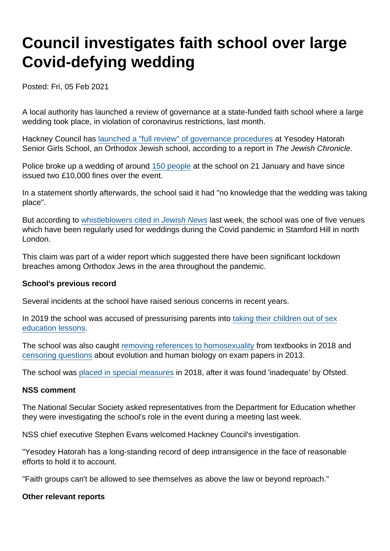## Council investigates faith school over large Covid-defying wedding

Posted: Fri, 05 Feb 2021

A local authority has launched a review of governance at a state-funded faith school where a large wedding took place, in violation of coronavirus restrictions, last month.

Hackney Council has [launched a "full review" of governance procedures](https://www.thejc.com/news/uk/police-issue-second-10-000-fine-over-yesodey-hatorah-wedding-1.511420) at Yesodey Hatorah Senior Girls School, an Orthodox Jewish school, according to a report in The Jewish Chronicle.

Police broke up a wedding of around [150 people](https://www.bbc.co.uk/news/uk-england-london-55764673) at the school on 21 January and have since issued two £10,000 fines over the event.

In a statement shortly afterwards, the school said it had "no knowledge that the wedding was taking place".

But according to [whistleblowers cited in Jewish News](https://jewishnews.timesofisrael.com/jn-investigation-for-months-theyve-broken-every-rule-in-the-book/) last week, the school was one of five venues which have been regularly used for weddings during the Covid pandemic in Stamford Hill in north London.

This claim was part of a wider report which suggested there have been significant lockdown breaches among Orthodox Jews in the area throughout the pandemic.

School's previous record

Several incidents at the school have raised serious concerns in recent years.

In 2019 the school was accused of pressurising parents into [taking their children out of sex](https://www.bbc.co.uk/news/education-50566453) [education lessons](https://www.bbc.co.uk/news/education-50566453).

The school was also caught [removing references to homosexuality](https://www.secularism.org.uk/news/2018/03/nss-school-which-censored-textbooks-trying-to-hide-from-criticism) from textbooks in 2018 and [censoring questions](https://www.secularism.org.uk/news/2013/10/jewish-faith-school-caught-censoring-questions-on-science-exam-papers) about evolution and human biology on exam papers in 2013.

The school was [placed in special measures](https://schoolsweek.co.uk/jewish-school-found-redacting-textbooks-put-into-special-measures/) in 2018, after it was found 'inadequate' by Ofsted.

NSS comment

The National Secular Society asked representatives from the Department for Education whether they were investigating the school's role in the event during a meeting last week.

NSS chief executive Stephen Evans welcomed Hackney Council's investigation.

"Yesodey Hatorah has a long-standing record of deep intransigence in the face of reasonable efforts to hold it to account.

"Faith groups can't be allowed to see themselves as above the law or beyond reproach."

Other relevant reports